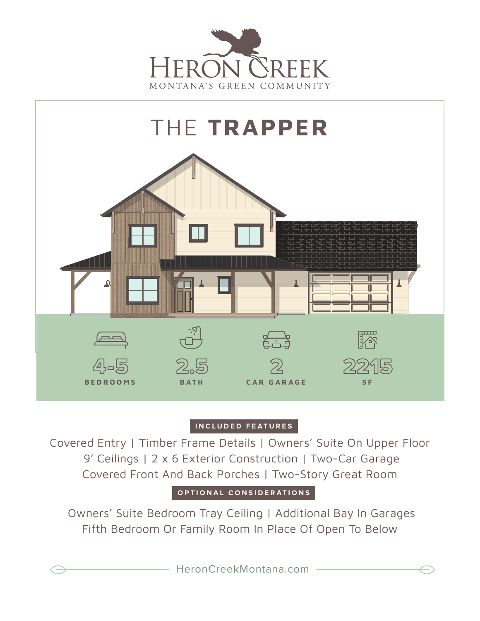



## **INCLUDED FEATURES**

Covered Entry | Timber Frame Details | Owners' Suite On Upper Floor 9' Ceilings | 2 x 6 Exterior Construction | Two-Car Garage Covered Front And Back Porches | Two-Story Great Room

## **OPTIONAL CONSIDERATIONS**

 Owners' Suite Bedroom Tray Ceiling | Additional Bay In Garages Fifth Bedroom Or Family Room In Place Of Open To Below

HeronCreekMontana.com